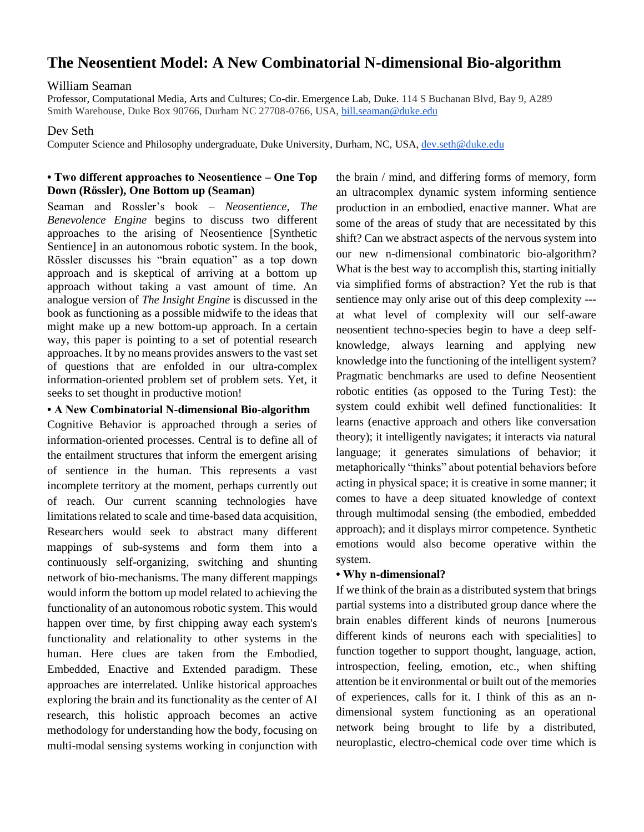# **The Neosentient Model: A New Combinatorial N-dimensional Bio-algorithm**

### William Seaman

Professor, Computational Media, Arts and Cultures; Co-dir. Emergence Lab, Duke. 114 S Buchanan Blvd, Bay 9, A289 Smith Warehouse, Duke Box 90766, Durham NC 27708-0766, USA[, bill.seaman@duke.edu](mailto:bill.seaman@duke.edu)

### Dev Seth

Computer Science and Philosophy undergraduate, Duke University, Durham, NC, USA, [dev.seth@duke.edu](mailto:dev.seth@duke.edu)

### **• Two different approaches to Neosentience – One Top Down (Rössler), One Bottom up (Seaman)**

Seaman and Rossler's book – *Neosentience, The Benevolence Engine* begins to discuss two different approaches to the arising of Neosentience [Synthetic Sentience] in an autonomous robotic system. In the book, Rössler discusses his "brain equation" as a top down approach and is skeptical of arriving at a bottom up approach without taking a vast amount of time. An analogue version of *The Insight Engine* is discussed in the book as functioning as a possible midwife to the ideas that might make up a new bottom-up approach. In a certain way, this paper is pointing to a set of potential research approaches. It by no means provides answers to the vast set of questions that are enfolded in our ultra-complex information-oriented problem set of problem sets. Yet, it seeks to set thought in productive motion!

## **• A New Combinatorial N-dimensional Bio-algorithm**

Cognitive Behavior is approached through a series of information-oriented processes. Central is to define all of the entailment structures that inform the emergent arising of sentience in the human. This represents a vast incomplete territory at the moment, perhaps currently out of reach. Our current scanning technologies have limitations related to scale and time-based data acquisition, Researchers would seek to abstract many different mappings of sub-systems and form them into a continuously self-organizing, switching and shunting network of bio-mechanisms. The many different mappings would inform the bottom up model related to achieving the functionality of an autonomous robotic system. This would happen over time, by first chipping away each system's functionality and relationality to other systems in the human. Here clues are taken from the Embodied, Embedded, Enactive and Extended paradigm. These approaches are interrelated. Unlike historical approaches exploring the brain and its functionality as the center of AI research, this holistic approach becomes an active methodology for understanding how the body, focusing on multi-modal sensing systems working in conjunction with

the brain / mind, and differing forms of memory, form an ultracomplex dynamic system informing sentience production in an embodied, enactive manner. What are some of the areas of study that are necessitated by this shift? Can we abstract aspects of the nervous system into our new n-dimensional combinatoric bio-algorithm? What is the best way to accomplish this, starting initially via simplified forms of abstraction? Yet the rub is that sentience may only arise out of this deep complexity -- at what level of complexity will our self-aware neosentient techno-species begin to have a deep selfknowledge, always learning and applying new knowledge into the functioning of the intelligent system? Pragmatic benchmarks are used to define Neosentient robotic entities (as opposed to the Turing Test): the system could exhibit well defined functionalities: It learns (enactive approach and others like conversation theory); it intelligently navigates; it interacts via natural language; it generates simulations of behavior; it metaphorically "thinks" about potential behaviors before acting in physical space; it is creative in some manner; it comes to have a deep situated knowledge of context through multimodal sensing (the embodied, embedded approach); and it displays mirror competence. Synthetic emotions would also become operative within the system.

## **• Why n-dimensional?**

If we think of the brain as a distributed system that brings partial systems into a distributed group dance where the brain enables different kinds of neurons [numerous different kinds of neurons each with specialities] to function together to support thought, language, action, introspection, feeling, emotion, etc., when shifting attention be it environmental or built out of the memories of experiences, calls for it. I think of this as an ndimensional system functioning as an operational network being brought to life by a distributed, neuroplastic, electro-chemical code over time which is